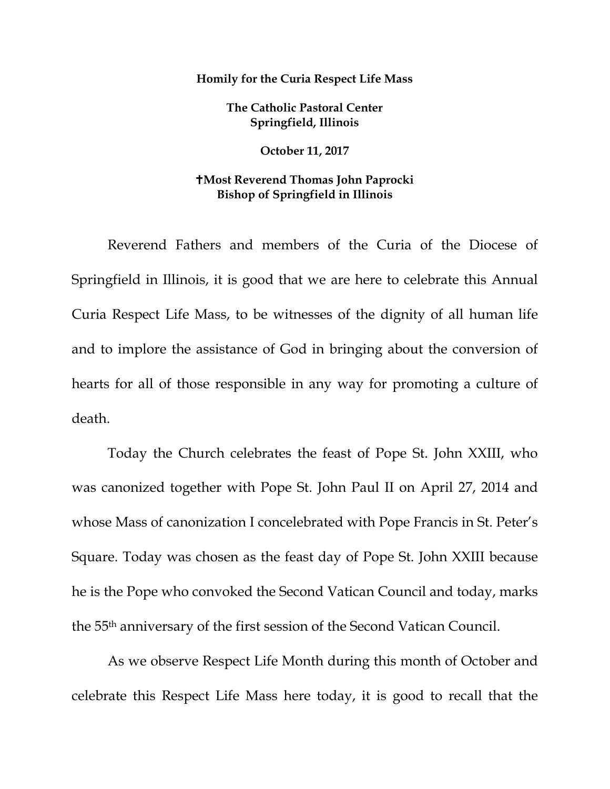## **Homily for the Curia Respect Life Mass**

**The Catholic Pastoral Center Springfield, Illinois**

**October 11, 2017**

## **Most Reverend Thomas John Paprocki Bishop of Springfield in Illinois**

Reverend Fathers and members of the Curia of the Diocese of Springfield in Illinois, it is good that we are here to celebrate this Annual Curia Respect Life Mass, to be witnesses of the dignity of all human life and to implore the assistance of God in bringing about the conversion of hearts for all of those responsible in any way for promoting a culture of death.

Today the Church celebrates the feast of Pope St. John XXIII, who was canonized together with Pope St. John Paul II on April 27, 2014 and whose Mass of canonization I concelebrated with Pope Francis in St. Peter's Square. Today was chosen as the feast day of Pope St. John XXIII because he is the Pope who convoked the Second Vatican Council and today, marks the 55th anniversary of the first session of the Second Vatican Council.

As we observe Respect Life Month during this month of October and celebrate this Respect Life Mass here today, it is good to recall that the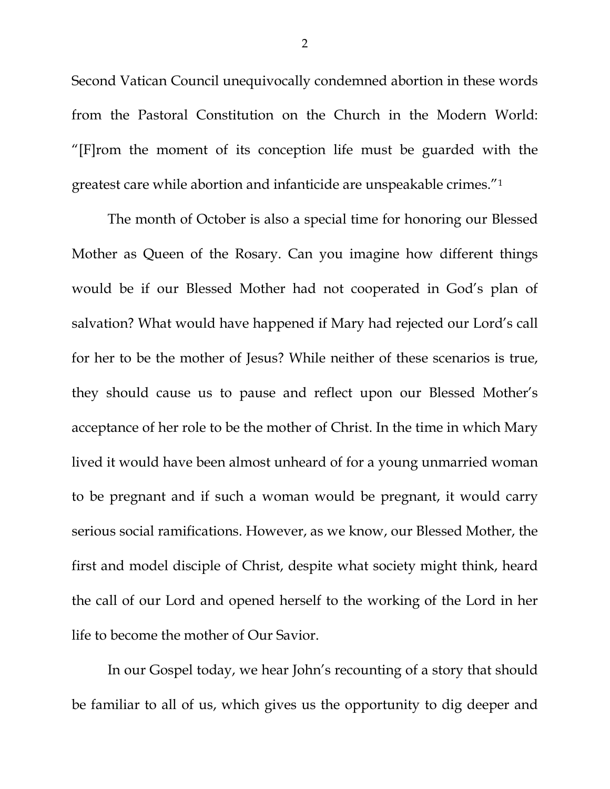Second Vatican Council unequivocally condemned abortion in these words from the Pastoral Constitution on the Church in the Modern World: "[F]rom the moment of its conception life must be guarded with the greatest care while abortion and infanticide are unspeakable crimes."[1](#page-2-0)

The month of October is also a special time for honoring our Blessed Mother as Queen of the Rosary. Can you imagine how different things would be if our Blessed Mother had not cooperated in God's plan of salvation? What would have happened if Mary had rejected our Lord's call for her to be the mother of Jesus? While neither of these scenarios is true, they should cause us to pause and reflect upon our Blessed Mother's acceptance of her role to be the mother of Christ. In the time in which Mary lived it would have been almost unheard of for a young unmarried woman to be pregnant and if such a woman would be pregnant, it would carry serious social ramifications. However, as we know, our Blessed Mother, the first and model disciple of Christ, despite what society might think, heard the call of our Lord and opened herself to the working of the Lord in her life to become the mother of Our Savior.

In our Gospel today, we hear John's recounting of a story that should be familiar to all of us, which gives us the opportunity to dig deeper and

2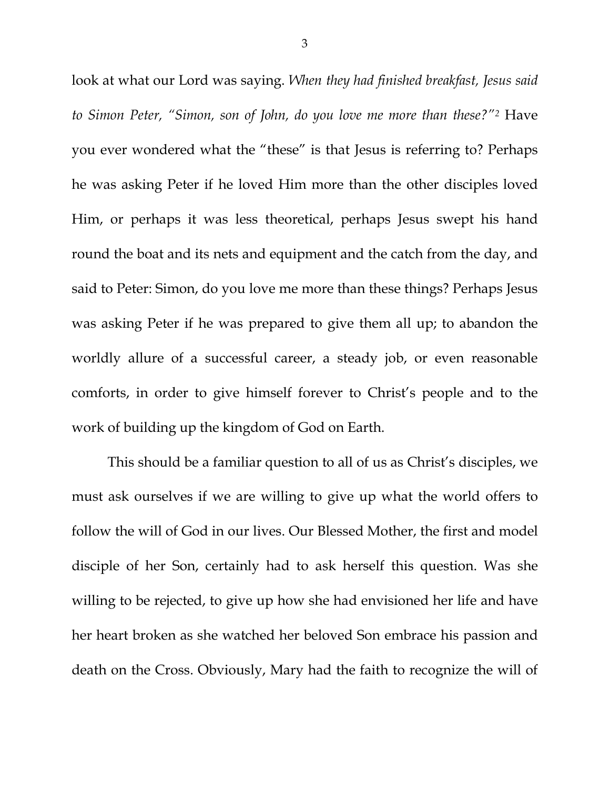look at what our Lord was saying. *When they had finished breakfast, Jesus said to Simon Peter, "Simon, son of John, do you love me more than these?"[2](#page-2-1)* Have you ever wondered what the "these" is that Jesus is referring to? Perhaps he was asking Peter if he loved Him more than the other disciples loved Him, or perhaps it was less theoretical, perhaps Jesus swept his hand round the boat and its nets and equipment and the catch from the day, and said to Peter: Simon, do you love me more than these things? Perhaps Jesus was asking Peter if he was prepared to give them all up; to abandon the worldly allure of a successful career, a steady job, or even reasonable comforts, in order to give himself forever to Christ's people and to the work of building up the kingdom of God on Earth.

<span id="page-2-1"></span><span id="page-2-0"></span>This should be a familiar question to all of us as Christ's disciples, we must ask ourselves if we are willing to give up what the world offers to follow the will of God in our lives. Our Blessed Mother, the first and model disciple of her Son, certainly had to ask herself this question. Was she willing to be rejected, to give up how she had envisioned her life and have her heart broken as she watched her beloved Son embrace his passion and death on the Cross. Obviously, Mary had the faith to recognize the will of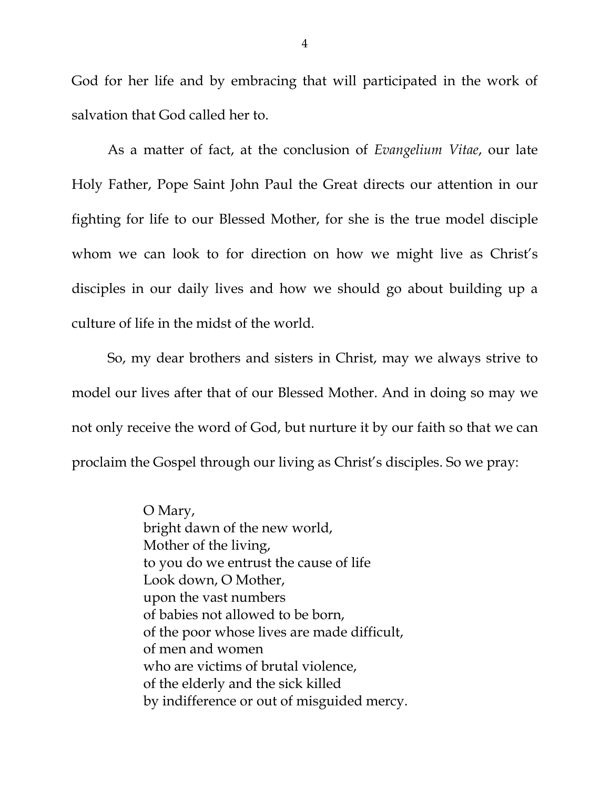God for her life and by embracing that will participated in the work of salvation that God called her to.

As a matter of fact, at the conclusion of *Evangelium Vitae*, our late Holy Father, Pope Saint John Paul the Great directs our attention in our fighting for life to our Blessed Mother, for she is the true model disciple whom we can look to for direction on how we might live as Christ's disciples in our daily lives and how we should go about building up a culture of life in the midst of the world.

So, my dear brothers and sisters in Christ, may we always strive to model our lives after that of our Blessed Mother. And in doing so may we not only receive the word of God, but nurture it by our faith so that we can proclaim the Gospel through our living as Christ's disciples. So we pray:

> O Mary, bright dawn of the new world, Mother of the living, to you do we entrust the cause of life Look down, O Mother, upon the vast numbers of babies not allowed to be born, of the poor whose lives are made difficult, of men and women who are victims of brutal violence, of the elderly and the sick killed by indifference or out of misguided mercy.